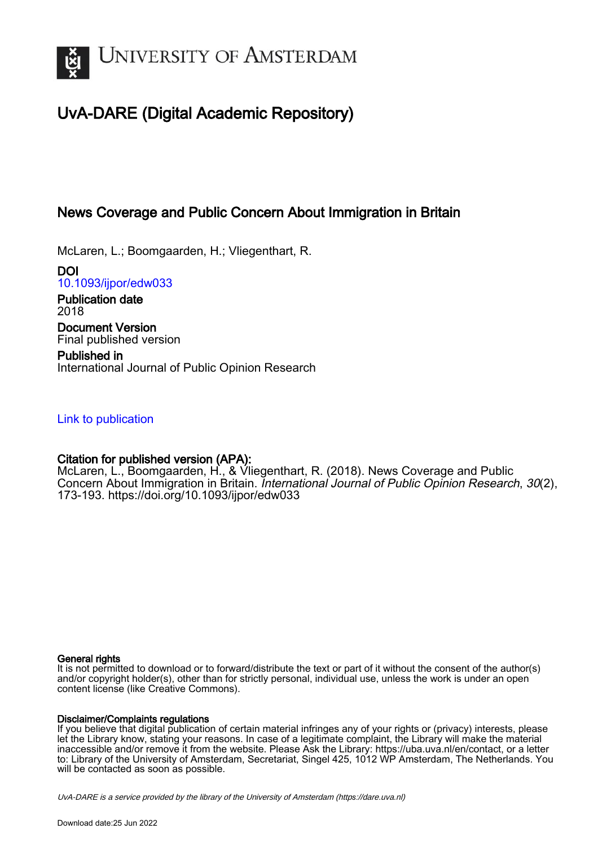

# UvA-DARE (Digital Academic Repository)

# News Coverage and Public Concern About Immigration in Britain

McLaren, L.; Boomgaarden, H.; Vliegenthart, R.

DOI [10.1093/ijpor/edw033](https://doi.org/10.1093/ijpor/edw033)

Publication date 2018 Document Version

Final published version

Published in International Journal of Public Opinion Research

## [Link to publication](https://dare.uva.nl/personal/pure/en/publications/news-coverage-and-public-concern-about-immigration-in-britain(d45db29f-990a-42fb-b70a-6fc034c40a45).html)

# Citation for published version (APA):

McLaren, L., Boomgaarden, H., & Vliegenthart, R. (2018). News Coverage and Public Concern About Immigration in Britain. International Journal of Public Opinion Research, 30(2), 173-193. <https://doi.org/10.1093/ijpor/edw033>

### General rights

It is not permitted to download or to forward/distribute the text or part of it without the consent of the author(s) and/or copyright holder(s), other than for strictly personal, individual use, unless the work is under an open content license (like Creative Commons).

### Disclaimer/Complaints regulations

If you believe that digital publication of certain material infringes any of your rights or (privacy) interests, please let the Library know, stating your reasons. In case of a legitimate complaint, the Library will make the material inaccessible and/or remove it from the website. Please Ask the Library: https://uba.uva.nl/en/contact, or a letter to: Library of the University of Amsterdam, Secretariat, Singel 425, 1012 WP Amsterdam, The Netherlands. You will be contacted as soon as possible.

UvA-DARE is a service provided by the library of the University of Amsterdam (http*s*://dare.uva.nl)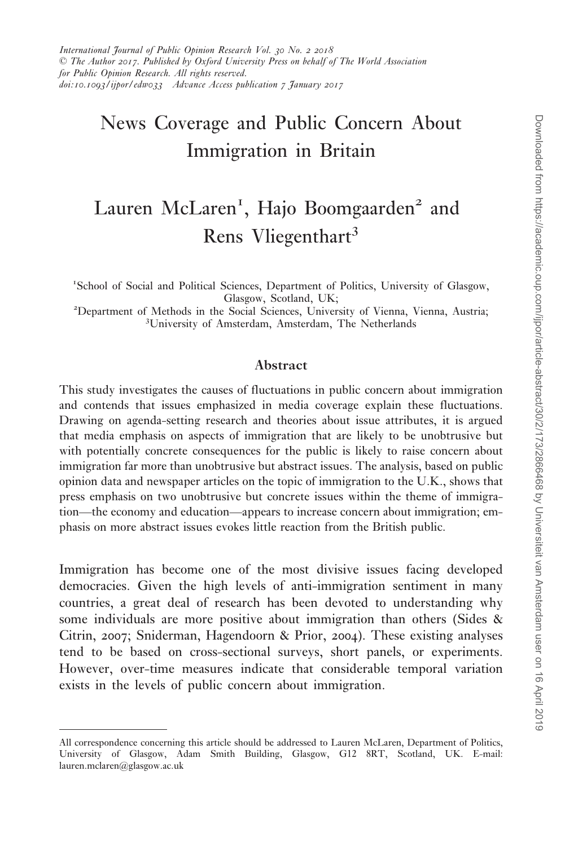# News Coverage and Public Concern About Immigration in Britain

# Lauren McLaren<sup>1</sup>, Hajo Boomgaarden<sup>2</sup> and Rens Vliegenthart<sup>3</sup>

1 School of Social and Political Sciences, Department of Politics, University of Glasgow, Glasgow, Scotland, UK;<br><sup>2</sup>Department of Methods in the Social Sciences, Univer

Department of Methods in the Social Sciences, University of Vienna, Vienna, Austria;<br><sup>3</sup>University of Amsterdam, Amsterdam, The Netherlands University of Amsterdam, Amsterdam, The Netherlands

#### Abstract

This study investigates the causes of fluctuations in public concern about immigration and contends that issues emphasized in media coverage explain these fluctuations. Drawing on agenda-setting research and theories about issue attributes, it is argued that media emphasis on aspects of immigration that are likely to be unobtrusive but with potentially concrete consequences for the public is likely to raise concern about immigration far more than unobtrusive but abstract issues. The analysis, based on public opinion data and newspaper articles on the topic of immigration to the U.K., shows that press emphasis on two unobtrusive but concrete issues within the theme of immigration—the economy and education—appears to increase concern about immigration; emphasis on more abstract issues evokes little reaction from the British public.

Immigration has become one of the most divisive issues facing developed democracies. Given the high levels of anti-immigration sentiment in many countries, a great deal of research has been devoted to understanding why some individuals are more positive about immigration than others [\(Sides &](#page-20-0) [Citrin,](#page-20-0) 2007; [Sniderman, Hagendoorn & Prior,](#page-20-0) 2004). These existing analyses tend to be based on cross-sectional surveys, short panels, or experiments. However, over-time measures indicate that considerable temporal variation exists in the levels of public concern about immigration.

All correspondence concerning this article should be addressed to Lauren McLaren, Department of Politics, University of Glasgow, Adam Smith Building, Glasgow, G12 8RT, Scotland, UK. E-mail: lauren.mclaren@glasgow.ac.uk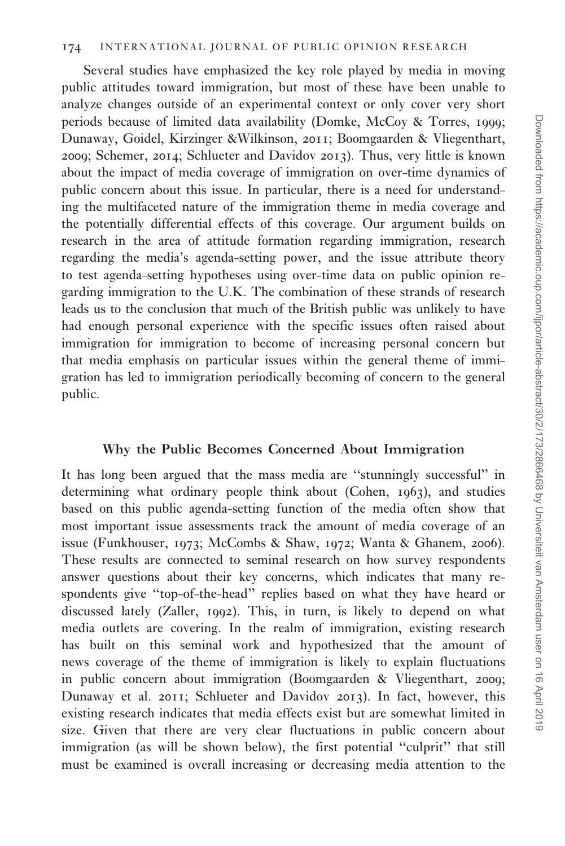Several studies have emphasized the key role played by media in moving public attitudes toward immigration, but most of these have been unable to analyze changes outside of an experimental context or only cover very short periods because of limited data availability ([Domke, McCoy & Torres,](#page-19-0) 1999; [Dunaway, Goidel, Kirzinger &Wilkinson,](#page-19-0) 2011; [Boomgaarden & Vliegenthart,](#page-18-0) [2009](#page-18-0); [Schemer,](#page-20-0) 2014; [Schlueter and Davidov](#page-20-0) 2013). Thus, very little is known about the impact of media coverage of immigration on over-time dynamics of public concern about this issue. In particular, there is a need for understanding the multifaceted nature of the immigration theme in media coverage and the potentially differential effects of this coverage. Our argument builds on research in the area of attitude formation regarding immigration, research regarding the media's agenda-setting power, and the issue attribute theory to test agenda-setting hypotheses using over-time data on public opinion regarding immigration to the U.K. The combination of these strands of research leads us to the conclusion that much of the British public was unlikely to have had enough personal experience with the specific issues often raised about immigration for immigration to become of increasing personal concern but that media emphasis on particular issues within the general theme of immigration has led to immigration periodically becoming of concern to the general public.

#### Why the Public Becomes Concerned About Immigration

It has long been argued that the mass media are ''stunningly successful'' in determining what ordinary people think about ([Cohen,](#page-18-0) 1963), and studies based on this public agenda-setting function of the media often show that most important issue assessments track the amount of media coverage of an issue ([Funkhouser,](#page-19-0) 1973; [McCombs & Shaw,](#page-20-0) 1972; [Wanta & Ghanem,](#page-21-0) 2006). These results are connected to seminal research on how survey respondents answer questions about their key concerns, which indicates that many respondents give ''top-of-the-head'' replies based on what they have heard or discussed lately [\(Zaller,](#page-21-0) 1992). This, in turn, is likely to depend on what media outlets are covering. In the realm of immigration, existing research has built on this seminal work and hypothesized that the amount of news coverage of the theme of immigration is likely to explain fluctuations in public concern about immigration [\(Boomgaarden & Vliegenthart,](#page-18-0) 2009; [Dunaway et al.](#page-19-0) 2011; [Schlueter and Davidov](#page-20-0) 2013). In fact, however, this existing research indicates that media effects exist but are somewhat limited in size. Given that there are very clear fluctuations in public concern about immigration (as will be shown below), the first potential ''culprit'' that still must be examined is overall increasing or decreasing media attention to the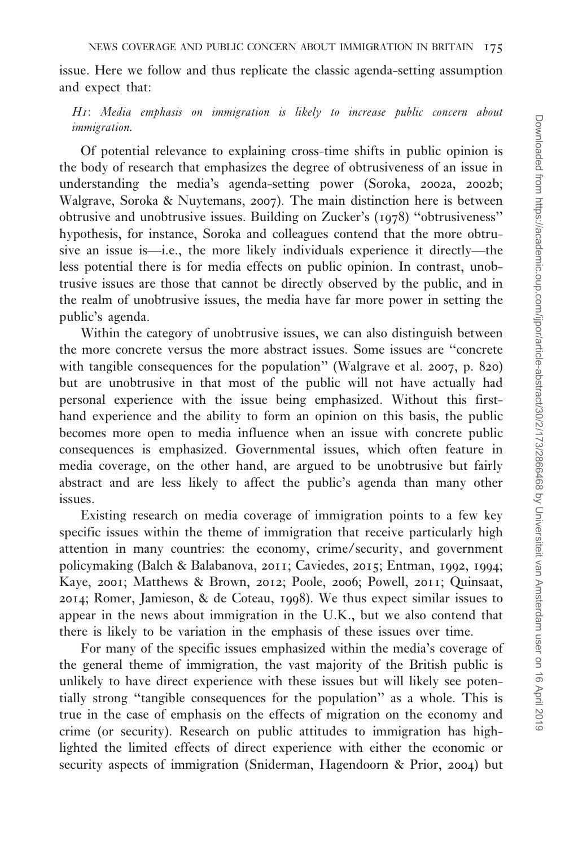issue. Here we follow and thus replicate the classic agenda-setting assumption and expect that:

H1: Media emphasis on immigration is likely to increase public concern about immigration.

Of potential relevance to explaining cross-time shifts in public opinion is the body of research that emphasizes the degree of obtrusiveness of an issue in understanding the media's agenda-setting power ([Soroka,](#page-20-0) 2002a, [2002](#page-20-0)b; [Walgrave, Soroka & Nuytemans,](#page-21-0) 2007). The main distinction here is between obtrusive and unobtrusive issues. Building on [Zucker's \(](#page-21-0)1978) ''obtrusiveness'' hypothesis, for instance, Soroka and colleagues contend that the more obtrusive an issue is—i.e., the more likely individuals experience it directly—the less potential there is for media effects on public opinion. In contrast, unobtrusive issues are those that cannot be directly observed by the public, and in the realm of unobtrusive issues, the media have far more power in setting the public's agenda.

Within the category of unobtrusive issues, we can also distinguish between the more concrete versus the more abstract issues. Some issues are ''concrete with tangible consequences for the population'' ([Walgrave et al.](#page-21-0) 2007, p. 820) but are unobtrusive in that most of the public will not have actually had personal experience with the issue being emphasized. Without this firsthand experience and the ability to form an opinion on this basis, the public becomes more open to media influence when an issue with concrete public consequences is emphasized. Governmental issues, which often feature in media coverage, on the other hand, are argued to be unobtrusive but fairly abstract and are less likely to affect the public's agenda than many other issues.

Existing research on media coverage of immigration points to a few key specific issues within the theme of immigration that receive particularly high attention in many countries: the economy, crime/security, and government policymaking [\(Balch & Balabanova,](#page-18-0) 2011; [Caviedes,](#page-18-0) 2015; [Entman,](#page-19-0) 1992, [1994](#page-19-0); [Kaye,](#page-19-0) 2001; [Matthews & Brown,](#page-19-0) 2012; [Poole,](#page-20-0) 2006; [Powell,](#page-20-0) 2011; [Quinsaat,](#page-20-0) [2014](#page-20-0); [Romer, Jamieson, & de Coteau,](#page-20-0) 1998). We thus expect similar issues to appear in the news about immigration in the U.K., but we also contend that there is likely to be variation in the emphasis of these issues over time.

For many of the specific issues emphasized within the media's coverage of the general theme of immigration, the vast majority of the British public is unlikely to have direct experience with these issues but will likely see potentially strong ''tangible consequences for the population'' as a whole. This is true in the case of emphasis on the effects of migration on the economy and crime (or security). Research on public attitudes to immigration has highlighted the limited effects of direct experience with either the economic or security aspects of immigration [\(Sniderman, Hagendoorn & Prior,](#page-20-0) 2004) but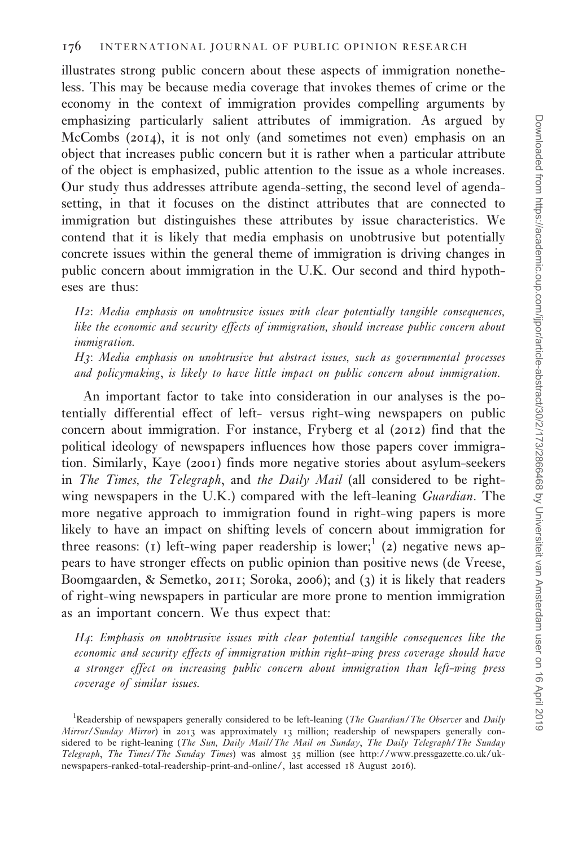illustrates strong public concern about these aspects of immigration nonetheless. This may be because media coverage that invokes themes of crime or the economy in the context of immigration provides compelling arguments by emphasizing particularly salient attributes of immigration. As argued by [McCombs \(](#page-20-0)2014), it is not only (and sometimes not even) emphasis on an object that increases public concern but it is rather when a particular attribute of the object is emphasized, public attention to the issue as a whole increases. Our study thus addresses attribute agenda-setting, the second level of agendasetting, in that it focuses on the distinct attributes that are connected to immigration but distinguishes these attributes by issue characteristics. We contend that it is likely that media emphasis on unobtrusive but potentially concrete issues within the general theme of immigration is driving changes in public concern about immigration in the U.K. Our second and third hypotheses are thus:

H2: Media emphasis on unobtrusive issues with clear potentially tangible consequences, like the economic and security effects of immigration, should increase public concern about immigration.

H3: Media emphasis on unobtrusive but abstract issues, such as governmental processes and policymaking, is likely to have little impact on public concern about immigration.

An important factor to take into consideration in our analyses is the potentially differential effect of left- versus right-wing newspapers on public concern about immigration. For instance, [Fryberg et al \(](#page-19-0)2012) find that the political ideology of newspapers influences how those papers cover immigration. Similarly, [Kaye \(](#page-19-0)2001) finds more negative stories about asylum-seekers in The Times, the Telegraph, and the Daily Mail (all considered to be rightwing newspapers in the U.K.) compared with the left-leaning *Guardian*. The more negative approach to immigration found in right-wing papers is more likely to have an impact on shifting levels of concern about immigration for three reasons: (1) left-wing paper readership is lower;<sup>1</sup> (2) negative news appears to have stronger effects on public opinion than positive news [\(de Vreese,](#page-19-0) [Boomgaarden, & Semetko,](#page-19-0) 2011; [Soroka,](#page-20-0) 2006); and (3) it is likely that readers of right-wing newspapers in particular are more prone to mention immigration as an important concern. We thus expect that:

H4: Emphasis on unobtrusive issues with clear potential tangible consequences like the economic and security effects of immigration within right-wing press coverage should have a stronger effect on increasing public concern about immigration than left-wing press coverage of similar issues.

<sup>&</sup>lt;sup>1</sup>Readership of newspapers generally considered to be left-leaning (The Guardian/The Observer and Daily Mirror/Sunday Mirror) in 2013 was approximately 13 million; readership of newspapers generally considered to be right-leaning (The Sun, Daily Mail/The Mail on Sunday, The Daily Telegraph/The Sunday Telegraph, The Times/The Sunday Times) was almost 35 million (see [http://www.pressgazette.co.uk/uk](http://www.pressgazette.co.uk/uk-newspapers-ranked-total-readership-print-and-online/)[newspapers-ranked-total-readership-print-and-online/](http://www.pressgazette.co.uk/uk-newspapers-ranked-total-readership-print-and-online/), last accessed 18 August 2016).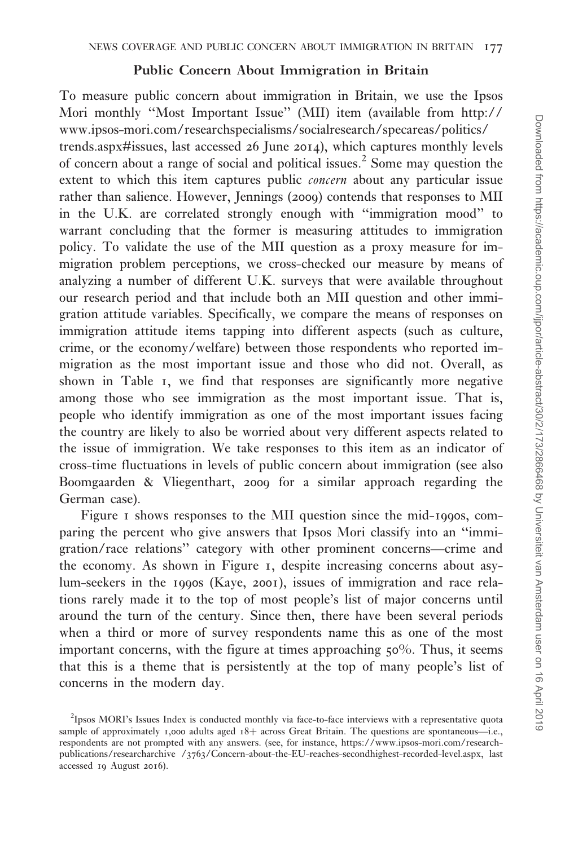#### Public Concern About Immigration in Britain

To measure public concern about immigration in Britain, we use the Ipsos Mori monthly ''Most Important Issue'' (MII) item (available from [http://](http://www.ipsos-mori.com/researchspecialisms/socialresearch/specareas/politics/trends.aspx#issues) [www.ipsos-mori.com/researchspecialisms/socialresearch/specareas/politics/](http://www.ipsos-mori.com/researchspecialisms/socialresearch/specareas/politics/trends.aspx#issues)

[trends.aspx#issues](http://www.ipsos-mori.com/researchspecialisms/socialresearch/specareas/politics/trends.aspx#issues), last accessed 26 June 2014), which captures monthly levels of concern about a range of social and political issues.<sup>2</sup> Some may question the extent to which this item captures public *concern* about any particular issue rather than salience. However, [Jennings \(](#page-19-0)2009) contends that responses to MII in the U.K. are correlated strongly enough with ''immigration mood'' to warrant concluding that the former is measuring attitudes to immigration policy. To validate the use of the MII question as a proxy measure for immigration problem perceptions, we cross-checked our measure by means of analyzing a number of different U.K. surveys that were available throughout our research period and that include both an MII question and other immigration attitude variables. Specifically, we compare the means of responses on immigration attitude items tapping into different aspects (such as culture, crime, or the economy/welfare) between those respondents who reported immigration as the most important issue and those who did not. Overall, as shown in [Table](#page-6-0) 1, we find that responses are significantly more negative among those who see immigration as the most important issue. That is, people who identify immigration as one of the most important issues facing the country are likely to also be worried about very different aspects related to the issue of immigration. We take responses to this item as an indicator of cross-time fluctuations in levels of public concern about immigration (see also [Boomgaarden & Vliegenthart,](#page-18-0) 2009 for a similar approach regarding the German case).

Figure 1 shows responses to the MII question since the mid-1990s, comparing the percent who give answers that Ipsos Mori classify into an ''immigration/race relations'' category with other prominent concerns—crime and the economy. As shown in Figure 1, despite increasing concerns about asylum-seekers in the 1990s ([Kaye,](#page-19-0) 2001), issues of immigration and race relations rarely made it to the top of most people's list of major concerns until around the turn of the century. Since then, there have been several periods when a third or more of survey respondents name this as one of the most important concerns, with the figure at times approaching 50%. Thus, it seems that this is a theme that is persistently at the top of many people's list of concerns in the modern day.

<sup>&</sup>lt;sup>2</sup>Ipsos MORI's Issues Index is conducted monthly via face-to-face interviews with a representative quota sample of approximately 1,000 adults aged  $18+$  across Great Britain. The questions are spontaneous—i.e., respondents are not prompted with any answers. (see, for instance, [https://www.ipsos-mori.com/research](https://www.ipsos-mori.com/researchpublications/researcharchive/3763/Concern-about-the-EU-reaches-secondhighest-recorded-level.aspx)publications/researcharchive /3763[/Concern-about-the-EU-reaches-secondhighest-recorded-level.aspx,](https://www.ipsos-mori.com/researchpublications/researcharchive/3763/Concern-about-the-EU-reaches-secondhighest-recorded-level.aspx) last accessed 19 August 2016).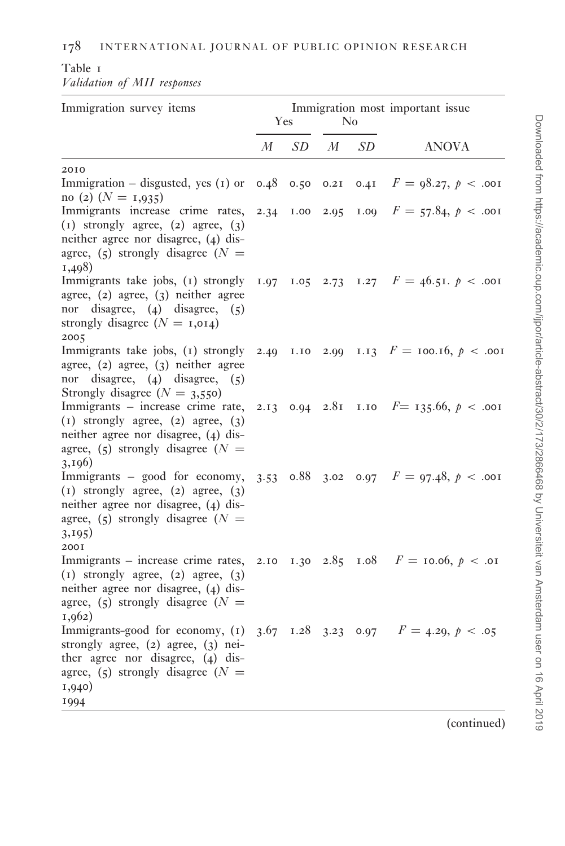## <span id="page-6-0"></span>Table 1 Validation of MII responses

| Immigration survey items                                                                                                                                                                                                  | Yes | $\rm No$ |           | Immigration most important issue             |
|---------------------------------------------------------------------------------------------------------------------------------------------------------------------------------------------------------------------------|-----|----------|-----------|----------------------------------------------|
|                                                                                                                                                                                                                           | M   | SD M     | <i>SD</i> | <b>ANOVA</b>                                 |
| 2010<br>Immigration – disgusted, yes (1) or $0.48$ 0.50 0.21<br>no (2) $(N = 1,935)$                                                                                                                                      |     |          |           | 0.41 $F = 98.27, p < .001$                   |
| Immigrants increase crime rates,<br>$(i)$ strongly agree, $(2)$ agree, $(3)$<br>neither agree nor disagree, (4) dis-<br>agree, (5) strongly disagree ( $N =$<br>1,498)                                                    |     |          |           | 2.34 1.00 2.95 1.09 $F = 57.84, p < .001$    |
| Immigrants take jobs, (1) strongly<br>agree, (2) agree, (3) neither agree<br>nor disagree, $(4)$ disagree, $(5)$<br>strongly disagree $(N = 1, 014)$<br>2005                                                              |     |          |           | 1.97 1.05 2.73 1.27 $F = 46.51$ . $p < .001$ |
| Immigrants take jobs, (1) strongly 2.49 1.10 2.99 1.13 $F = 100.16$ , $p < .001$<br>agree, $(2)$ agree, $(3)$ neither agree<br>nor disagree, (4) disagree, (5)<br>Strongly disagree ( $N = 3,550$ )                       |     |          |           |                                              |
| Immigrants - increase crime rate,<br>$(i)$ strongly agree, $(2)$ agree, $(3)$<br>neither agree nor disagree, (4) dis-<br>agree, (5) strongly disagree ( $N =$<br>3,196)                                                   |     |          |           | 2.13 0.94 2.81 1.10 $F=$ 135.66, $p < .001$  |
| Immigrants – good for economy, 3.53 0.88 3.02 0.97 $F = 97.48$ , $p < .001$<br>$(i)$ strongly agree, $(2)$ agree, $(3)$<br>neither agree nor disagree, (4) dis-<br>agree, (5) strongly disagree ( $N =$<br>3,195)<br>200I |     |          |           |                                              |
| Immigrants – increase crime rates,<br>$(1)$ strongly agree, $(2)$ agree, $(3)$<br>neither agree nor disagree, (4) dis-<br>agree, (5) strongly disagree ( $N =$<br>1,062)                                                  |     |          |           | 2.10 1.30 2.85 1.08 $F = 10.06, p < .01$     |
| Immigrants-good for economy, (1) 3.67 1.28 3.23 0.97 $F = 4.29$ , $p < .05$<br>strongly agree, (2) agree, (3) nei-<br>ther agree nor disagree, (4) dis-<br>agree, (5) strongly disagree ( $N =$<br>1,940)<br>1994         |     |          |           |                                              |

Downloaded from https://academic.oup.com/ijpor/article-abstract/30/2/173/2866468 by Universiteit van Amsterdam user on 16 April 2019 Downloaded from https://academic.oup.com/ijpor/article-abstract/30/2/173/2866468 by Universiteit van Amsterdam user on 16 April 2019

(continued)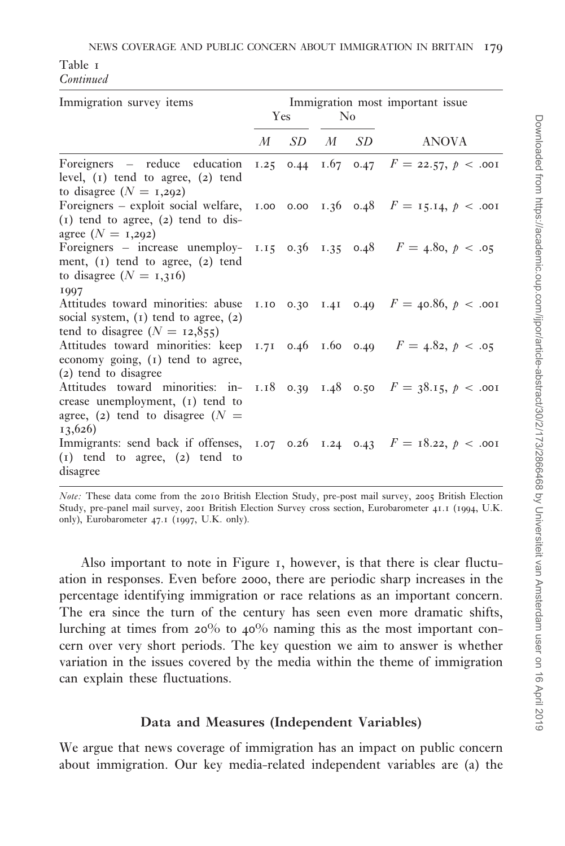#### Table 1 **Continued**

| Immigration survey items                                                                                                                                             |   | Yes | $\mathbf{N_0}$ |    | Immigration most important issue |
|----------------------------------------------------------------------------------------------------------------------------------------------------------------------|---|-----|----------------|----|----------------------------------|
|                                                                                                                                                                      | M |     | $SD$ M         | SD | <b>ANOVA</b>                     |
| Foreigners – reduce education 1.25 0.44 1.67 0.47 $F = 22.57$ , $p < .001$<br>level, $(i)$ tend to agree, $(2)$ tend<br>to disagree $(N = 1,292)$                    |   |     |                |    |                                  |
| Foreigners – exploit social welfare, 1.00 0.00 1.36 0.48 $F = 15.14, p < .001$<br>$(i)$ tend to agree, $(2)$ tend to dis-<br>agree $(N = 1,202)$                     |   |     |                |    |                                  |
| Foreigners – increase unemploy- 1.15 0.36 1.35 0.48 $F = 4.80, p < .05$<br>ment, $(i)$ tend to agree, $(2)$ tend<br>to disagree $(N = 1,316)$<br>1997                |   |     |                |    |                                  |
| Attitudes toward minorities: abuse 1.10 0.30 1.41 0.49 $F = 40.86$ , $p < .001$<br>social system, $(i)$ tend to agree, $(2)$<br>tend to disagree ( $N = 12,855$ )    |   |     |                |    |                                  |
| Attitudes toward minorities: keep 1.71 0.46 1.60 0.49 $F = 4.82$ , $p < .05$<br>economy going, (1) tend to agree,<br>(2) tend to disagree                            |   |     |                |    |                                  |
| Attitudes toward minorities: in- 1.18 0.39 1.48 0.50 $F = 38.15$ , $p < .001$<br>crease unemployment, $(i)$ tend to<br>agree, (2) tend to disagree ( $N =$<br>13,626 |   |     |                |    |                                  |
| Immigrants: send back if offenses, 1.07 0.26 1.24 0.43 $F = 18.22, p < .001$<br>(1) tend to agree, (2) tend to<br>disagree                                           |   |     |                |    |                                  |

Note: These data come from the 2010 British Election Study, pre-post mail survey, 2005 British Election Study, pre-panel mail survey, 2001 British Election Survey cross section, Eurobarometer 41.1 (1994, U.K. only), Eurobarometer 47.1 (1997, U.K. only).

Also important to note in Figure 1, however, is that there is clear fluctuation in responses. Even before 2000, there are periodic sharp increases in the percentage identifying immigration or race relations as an important concern. The era since the turn of the century has seen even more dramatic shifts, lurching at times from 20% to 40% naming this as the most important concern over very short periods. The key question we aim to answer is whether variation in the issues covered by the media within the theme of immigration can explain these fluctuations.

## Data and Measures (Independent Variables)

We argue that news coverage of immigration has an impact on public concern about immigration. Our key media-related independent variables are (a) the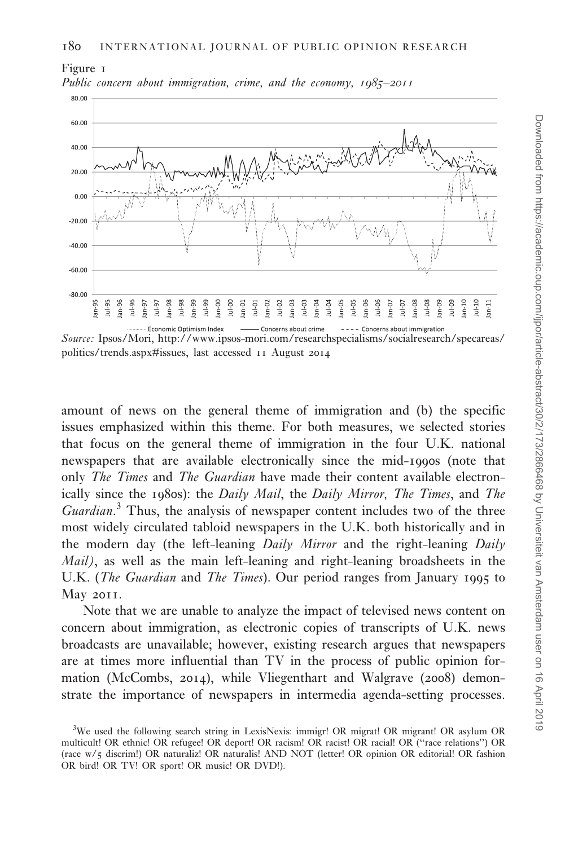

Public concern about immigration, crime, and the economy,  $1985-2011$ 

Figure 1

...... Economic Optimism Index - Concerns about crime ---- Concerns about immigration Source: Ipsos/Mori, [http://www.ipsos-mori.com/researchspecialisms/socialresearch/specareas/](http://www.ipsos-mori.com/researchspecialisms/socialresearch/specareas/politics/trends.aspx#issues) [politics/trends.aspx#issues,](http://www.ipsos-mori.com/researchspecialisms/socialresearch/specareas/politics/trends.aspx#issues) last accessed 11 August 2014

amount of news on the general theme of immigration and (b) the specific issues emphasized within this theme. For both measures, we selected stories that focus on the general theme of immigration in the four U.K. national newspapers that are available electronically since the mid-1990s (note that only The Times and The Guardian have made their content available electronically since the 1980s): the Daily Mail, the Daily Mirror, The Times, and The Guardian.<sup>3</sup> Thus, the analysis of newspaper content includes two of the three most widely circulated tabloid newspapers in the U.K. both historically and in the modern day (the left-leaning Daily Mirror and the right-leaning Daily Mail), as well as the main left-leaning and right-leaning broadsheets in the U.K. (The Guardian and The Times). Our period ranges from January 1995 to May 2011.

Note that we are unable to analyze the impact of televised news content on concern about immigration, as electronic copies of transcripts of U.K. news broadcasts are unavailable; however, existing research argues that newspapers are at times more influential than TV in the process of public opinion formation [\(McCombs,](#page-20-0) 2014), while [Vliegenthart and Walgrave \(](#page-20-0)2008) demonstrate the importance of newspapers in intermedia agenda-setting processes.

<sup>&</sup>lt;sup>3</sup>We used the following search string in LexisNexis: immigr! OR migrat! OR migrant! OR asylum OR multicult! OR ethnic! OR refugee! OR deport! OR racism! OR racist! OR racial! OR (''race relations'') OR (race w/5 discrim!) OR naturaliz! OR naturalis! AND NOT (letter! OR opinion OR editorial! OR fashion OR bird! OR TV! OR sport! OR music! OR DVD!).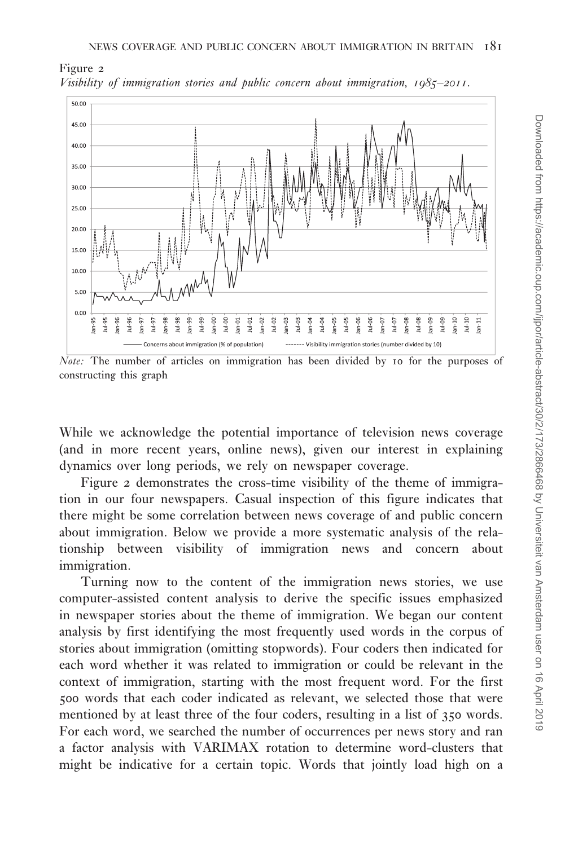

Figure 2 Visibility of immigration stories and public concern about immigration, 1985–2011.

Note: The number of articles on immigration has been divided by 10 for the purposes of constructing this graph

While we acknowledge the potential importance of television news coverage (and in more recent years, online news), given our interest in explaining dynamics over long periods, we rely on newspaper coverage.

Figure 2 demonstrates the cross-time visibility of the theme of immigration in our four newspapers. Casual inspection of this figure indicates that there might be some correlation between news coverage of and public concern about immigration. Below we provide a more systematic analysis of the relationship between visibility of immigration news and concern about immigration.

Turning now to the content of the immigration news stories, we use computer-assisted content analysis to derive the specific issues emphasized in newspaper stories about the theme of immigration. We began our content analysis by first identifying the most frequently used words in the corpus of stories about immigration (omitting stopwords). Four coders then indicated for each word whether it was related to immigration or could be relevant in the context of immigration, starting with the most frequent word. For the first 500 words that each coder indicated as relevant, we selected those that were mentioned by at least three of the four coders, resulting in a list of 350 words. For each word, we searched the number of occurrences per news story and ran a factor analysis with VARIMAX rotation to determine word-clusters that might be indicative for a certain topic. Words that jointly load high on a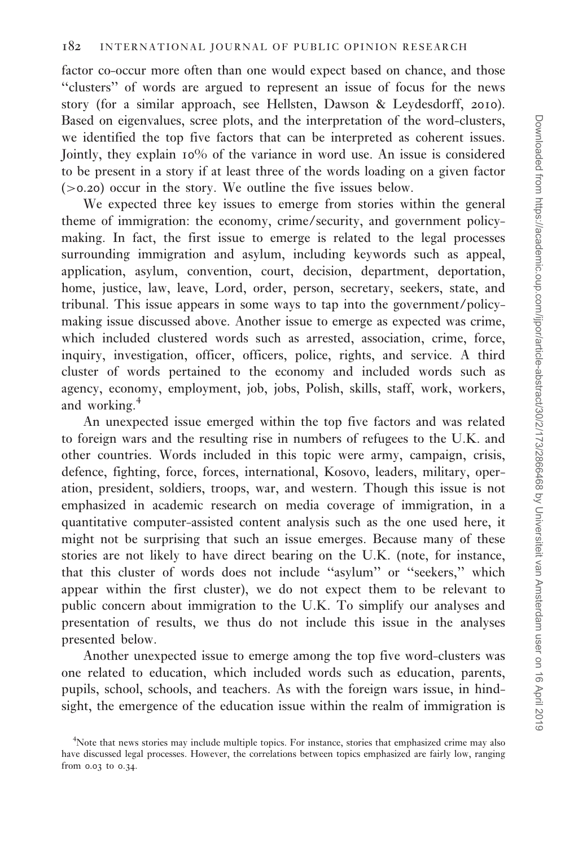factor co-occur more often than one would expect based on chance, and those "clusters" of words are argued to represent an issue of focus for the news story (for a similar approach, see [Hellsten, Dawson & Leydesdorff,](#page-19-0) 2010). Based on eigenvalues, scree plots, and the interpretation of the word-clusters, we identified the top five factors that can be interpreted as coherent issues. Jointly, they explain 10% of the variance in word use. An issue is considered to be present in a story if at least three of the words loading on a given factor (>0.20) occur in the story. We outline the five issues below.

We expected three key issues to emerge from stories within the general theme of immigration: the economy, crime/security, and government policymaking. In fact, the first issue to emerge is related to the legal processes surrounding immigration and asylum, including keywords such as appeal, application, asylum, convention, court, decision, department, deportation, home, justice, law, leave, Lord, order, person, secretary, seekers, state, and tribunal. This issue appears in some ways to tap into the government/policymaking issue discussed above. Another issue to emerge as expected was crime, which included clustered words such as arrested, association, crime, force, inquiry, investigation, officer, officers, police, rights, and service. A third cluster of words pertained to the economy and included words such as agency, economy, employment, job, jobs, Polish, skills, staff, work, workers, and working.<sup>4</sup>

An unexpected issue emerged within the top five factors and was related to foreign wars and the resulting rise in numbers of refugees to the U.K. and other countries. Words included in this topic were army, campaign, crisis, defence, fighting, force, forces, international, Kosovo, leaders, military, operation, president, soldiers, troops, war, and western. Though this issue is not emphasized in academic research on media coverage of immigration, in a quantitative computer-assisted content analysis such as the one used here, it might not be surprising that such an issue emerges. Because many of these stories are not likely to have direct bearing on the U.K. (note, for instance, that this cluster of words does not include ''asylum'' or ''seekers,'' which appear within the first cluster), we do not expect them to be relevant to public concern about immigration to the U.K. To simplify our analyses and presentation of results, we thus do not include this issue in the analyses presented below.

Another unexpected issue to emerge among the top five word-clusters was one related to education, which included words such as education, parents, pupils, school, schools, and teachers. As with the foreign wars issue, in hindsight, the emergence of the education issue within the realm of immigration is

<sup>&</sup>lt;sup>4</sup>Note that news stories may include multiple topics. For instance, stories that emphasized crime may also have discussed legal processes. However, the correlations between topics emphasized are fairly low, ranging from 0.03 to 0.34.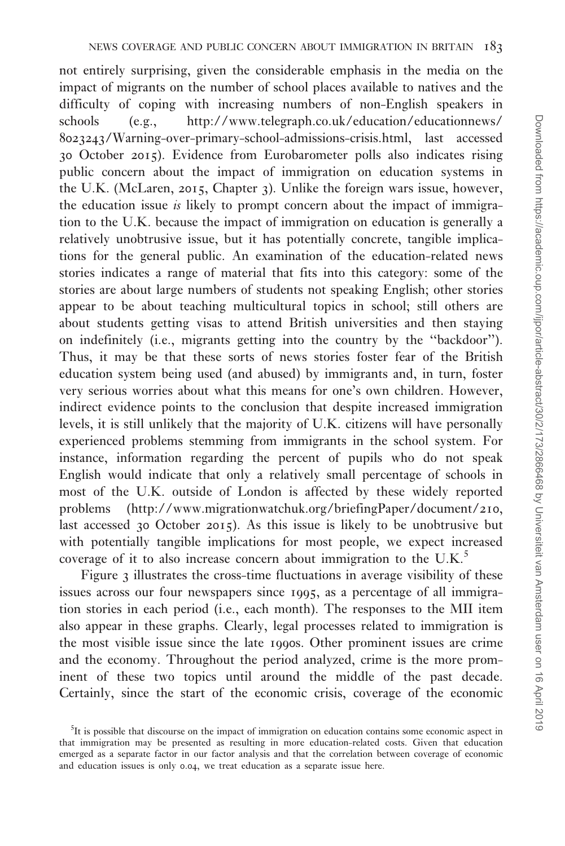not entirely surprising, given the considerable emphasis in the media on the impact of migrants on the number of school places available to natives and the difficulty of coping with increasing numbers of non-English speakers in schools (e.g., [http://www.telegraph.co.uk/education/educationnews/](http://www.telegraph.co.uk/education/educationnews/8023243/Warning-over-primary-school-admissions-crisis.html) 8023243[/Warning-over-primary-school-admissions-crisis.html,](http://www.telegraph.co.uk/education/educationnews/8023243/Warning-over-primary-school-admissions-crisis.html) last accessed 30 October 2015). Evidence from Eurobarometer polls also indicates rising public concern about the impact of immigration on education systems in the U.K. ([McLaren,](#page-20-0) 2015, Chapter 3). Unlike the foreign wars issue, however, the education issue is likely to prompt concern about the impact of immigration to the U.K. because the impact of immigration on education is generally a relatively unobtrusive issue, but it has potentially concrete, tangible implications for the general public. An examination of the education-related news stories indicates a range of material that fits into this category: some of the stories are about large numbers of students not speaking English; other stories appear to be about teaching multicultural topics in school; still others are about students getting visas to attend British universities and then staying on indefinitely (i.e., migrants getting into the country by the ''backdoor''). Thus, it may be that these sorts of news stories foster fear of the British education system being used (and abused) by immigrants and, in turn, foster very serious worries about what this means for one's own children. However, indirect evidence points to the conclusion that despite increased immigration levels, it is still unlikely that the majority of U.K. citizens will have personally experienced problems stemming from immigrants in the school system. For instance, information regarding the percent of pupils who do not speak English would indicate that only a relatively small percentage of schools in most of the U.K. outside of London is affected by these widely reported problems ([http://www.migrationwatchuk.org/briefingPaper/document/](http://www.migrationwatchuk.org/briefingPaper/document/210)210, last accessed 30 October 2015). As this issue is likely to be unobtrusive but with potentially tangible implications for most people, we expect increased coverage of it to also increase concern about immigration to the  $U.K.^5$ 

Figure 3 illustrates the cross-time fluctuations in average visibility of these issues across our four newspapers since 1995, as a percentage of all immigration stories in each period (i.e., each month). The responses to the MII item also appear in these graphs. Clearly, legal processes related to immigration is the most visible issue since the late 1990s. Other prominent issues are crime and the economy. Throughout the period analyzed, crime is the more prominent of these two topics until around the middle of the past decade. Certainly, since the start of the economic crisis, coverage of the economic

<sup>&</sup>lt;sup>5</sup>It is possible that discourse on the impact of immigration on education contains some economic aspect in that immigration may be presented as resulting in more education-related costs. Given that education emerged as a separate factor in our factor analysis and that the correlation between coverage of economic and education issues is only 0.04, we treat education as a separate issue here.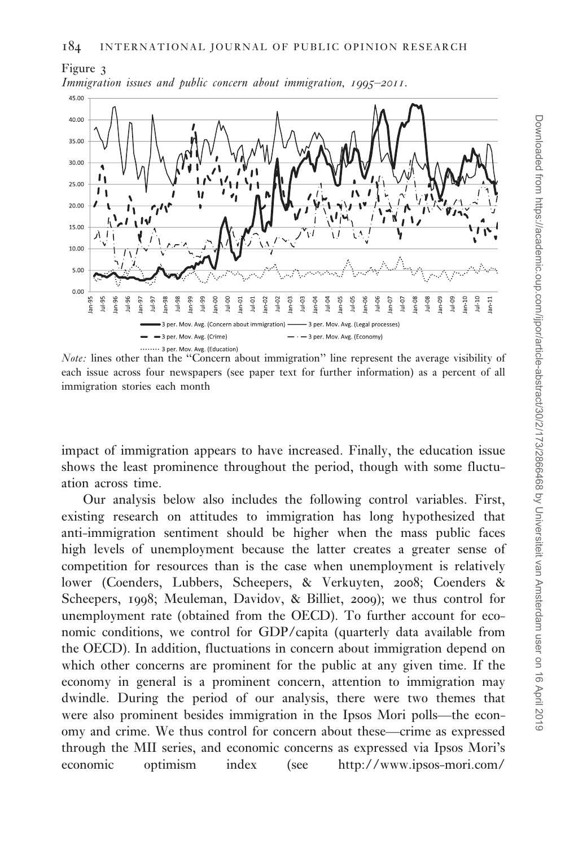

Figure 3 Immigration issues and public concern about immigration, 1995–2011.

........ 3 per. Mov. Avg. (Education)

Note: lines other than the ''Concern about immigration'' line represent the average visibility of each issue across four newspapers (see paper text for further information) as a percent of all immigration stories each month

impact of immigration appears to have increased. Finally, the education issue shows the least prominence throughout the period, though with some fluctuation across time.

Our analysis below also includes the following control variables. First, existing research on attitudes to immigration has long hypothesized that anti-immigration sentiment should be higher when the mass public faces high levels of unemployment because the latter creates a greater sense of competition for resources than is the case when unemployment is relatively lower [\(Coenders, Lubbers, Scheepers, & Verkuyten,](#page-18-0) 2008; [Coenders &](#page-18-0) [Scheepers,](#page-18-0) 1998; [Meuleman, Davidov, & Billiet,](#page-20-0) 2009); we thus control for unemployment rate (obtained from the OECD). To further account for economic conditions, we control for GDP/capita (quarterly data available from the OECD). In addition, fluctuations in concern about immigration depend on which other concerns are prominent for the public at any given time. If the economy in general is a prominent concern, attention to immigration may dwindle. During the period of our analysis, there were two themes that were also prominent besides immigration in the Ipsos Mori polls—the economy and crime. We thus control for concern about these—crime as expressed through the MII series, and economic concerns as expressed via Ipsos Mori's economic optimism index (see [http://www.ipsos-mori.com/](http://www.ipsos-mori.com/researchpublications/researcharchive/43/Economic-Optimism-Index-EOI-State-of-the-Economy-1997-present.aspx?view=wide)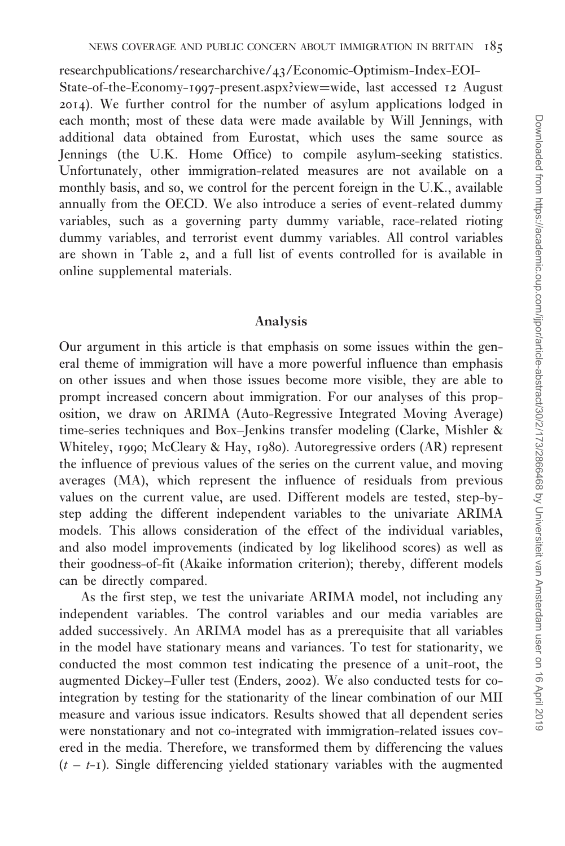[researchpublications/researcharchive/](http://www.ipsos-mori.com/researchpublications/researcharchive/43/Economic-Optimism-Index-EOI-State-of-the-Economy-1997-present.aspx?view=wide)43/Economic-Optimism-Index-EOI-[State-of-the-Economy-](http://www.ipsos-mori.com/researchpublications/researcharchive/43/Economic-Optimism-Index-EOI-State-of-the-Economy-1997-present.aspx?view=wide)1997-present.aspx?view=[wide](http://www.ipsos-mori.com/researchpublications/researcharchive/43/Economic-Optimism-Index-EOI-State-of-the-Economy-1997-present.aspx?view=wide), last accessed 12 August 2014). We further control for the number of asylum applications lodged in each month; most of these data were made available by Will Jennings, with additional data obtained from Eurostat, which uses the same source as Jennings (the U.K. Home Office) to compile asylum-seeking statistics. Unfortunately, other immigration-related measures are not available on a monthly basis, and so, we control for the percent foreign in the U.K., available annually from the OECD. We also introduce a series of event-related dummy variables, such as a governing party dummy variable, race-related rioting dummy variables, and terrorist event dummy variables. All control variables are shown in [Table](#page-14-0) 2, and a full list of events controlled for is available in online supplemental materials.

#### Analysis

Our argument in this article is that emphasis on some issues within the general theme of immigration will have a more powerful influence than emphasis on other issues and when those issues become more visible, they are able to prompt increased concern about immigration. For our analyses of this proposition, we draw on ARIMA (Auto-Regressive Integrated Moving Average) time-series techniques and Box–Jenkins transfer modeling ([Clarke, Mishler &](#page-18-0) [Whiteley,](#page-18-0) 1990; [McCleary & Hay,](#page-19-0) 1980). Autoregressive orders (AR) represent the influence of previous values of the series on the current value, and moving averages (MA), which represent the influence of residuals from previous values on the current value, are used. Different models are tested, step-bystep adding the different independent variables to the univariate ARIMA models. This allows consideration of the effect of the individual variables, and also model improvements (indicated by log likelihood scores) as well as their goodness-of-fit (Akaike information criterion); thereby, different models can be directly compared.

As the first step, we test the univariate ARIMA model, not including any independent variables. The control variables and our media variables are added successively. An ARIMA model has as a prerequisite that all variables in the model have stationary means and variances. To test for stationarity, we conducted the most common test indicating the presence of a unit-root, the augmented Dickey–Fuller test ([Enders,](#page-19-0) 2002). We also conducted tests for cointegration by testing for the stationarity of the linear combination of our MII measure and various issue indicators. Results showed that all dependent series were nonstationary and not co-integrated with immigration-related issues covered in the media. Therefore, we transformed them by differencing the values  $(t - t<sub>-1</sub>)$ . Single differencing yielded stationary variables with the augmented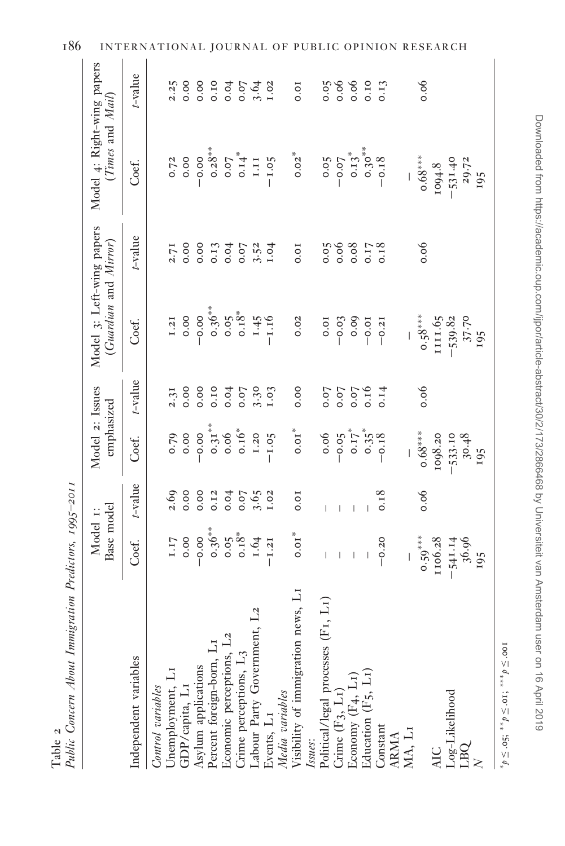<span id="page-14-0"></span>

| 0.00<br>$-0.00$<br>1.17<br>Coef.<br>Independent variables<br>$\begin{array}{l} \text{Unemployment, L1}\\ \text{GDP}/\text{apita, L1} \end{array}$<br>Control variables                                                                          | $t$ -value                 | emphasized                  | Model 2: Issues | Model 3: Left-wing papers<br>(Guardian and Mirror) |                   | Model 4: Right-wing papers<br>( <i>Times</i> and $Main$ ) |                |
|-------------------------------------------------------------------------------------------------------------------------------------------------------------------------------------------------------------------------------------------------|----------------------------|-----------------------------|-----------------|----------------------------------------------------|-------------------|-----------------------------------------------------------|----------------|
|                                                                                                                                                                                                                                                 |                            | Coef.                       | $t$ -value      | Coef.                                              | $t$ -value        | Coef.                                                     | $t$ -value     |
|                                                                                                                                                                                                                                                 |                            |                             |                 |                                                    |                   |                                                           |                |
|                                                                                                                                                                                                                                                 | 2.69                       | 0.79                        | 2.31            | 1.21                                               | 2.71              | 0.72                                                      | 2.25           |
|                                                                                                                                                                                                                                                 | 0.00                       | 0.00                        | 0.00            | 0.00                                               | 0.00              | 0.00                                                      | 0.00           |
|                                                                                                                                                                                                                                                 | 0.00                       | $-0.00$                     | 0.00            | $-0.00$                                            | 0.00              | $-0.00$                                                   | 0.00           |
| $0.36***$<br>Asylum applications<br>Percent foreign-born, L <sub>1</sub>                                                                                                                                                                        | 0.12                       | $0.31***$                   | 0.10            |                                                    | 0.13              | $0.28***$                                                 | 0.10           |
| Economic perceptions, L2                                                                                                                                                                                                                        | 0.04                       | 0.06                        | 0.04            | $0.36***$<br>0.05<br>0.18                          |                   |                                                           | 0.04           |
| $0.05$<br>0.18*                                                                                                                                                                                                                                 |                            | $0.16*$                     | 0.07            |                                                    | 0.07<br>0.07      | $0.07$<br>0.14                                            |                |
| 1.64                                                                                                                                                                                                                                            | $0.07$<br>$3.65$<br>$1.02$ | 1.20                        | 3.30            | $-1.16$                                            | 3.52              | 1.11                                                      | $0.07$<br>3.64 |
| $-1.21$                                                                                                                                                                                                                                         |                            | $-1.05$                     | 1.03            |                                                    | 1.04              | $-1.05$                                                   | 1.02           |
|                                                                                                                                                                                                                                                 |                            |                             |                 |                                                    |                   |                                                           |                |
| $0.01*$<br>Crime perceptions, L <sub>3</sub><br>Labour Party Government, L2<br>Events, L1<br><i>Media variables</i><br>Visibility of immigration news, L1                                                                                       | 0.01                       | $0.01*$                     | 0.00            | 0.02                                               | 0.01              | $0.02*$                                                   | 0.01           |
|                                                                                                                                                                                                                                                 |                            |                             |                 |                                                    |                   |                                                           |                |
| $\overline{\phantom{a}}$<br>$L_{I}$<br><i>Isues:</i><br>Political/legal processes (F <sub>1</sub> , I<br>Crime (F <sub>3</sub> , L <sub>1</sub> )<br>Economy (F <sub>4</sub> , L <sub>1</sub> )<br>Education (F <sub>5</sub> , L <sub>1</sub> ) |                            | 0.06                        | 0.07            | 0.01                                               | $\frac{9000}{50}$ | 0.05                                                      | 0.05           |
|                                                                                                                                                                                                                                                 |                            | $-0.05$                     | 0.07            | $-0.03$                                            |                   | $-0.07$                                                   | 0.06           |
|                                                                                                                                                                                                                                                 |                            |                             | 0.16            | 0.09                                               | 0.08              | $0.13*$                                                   | 0.06           |
|                                                                                                                                                                                                                                                 |                            | $-0.17$<br>$-35$<br>$-0.18$ |                 | $-0.01$                                            | 0.17              | $0.30***$                                                 | 0.10           |
| $-0.20$<br>Constant                                                                                                                                                                                                                             | 0.18                       |                             | 0.14            | $-0.21$                                            | 0.18              | $-0.18$                                                   | 0.13           |
| <b>ARMA</b>                                                                                                                                                                                                                                     |                            |                             |                 |                                                    |                   |                                                           |                |
| MA, LI                                                                                                                                                                                                                                          |                            |                             |                 |                                                    |                   |                                                           |                |
| $0.59***$                                                                                                                                                                                                                                       | 0.06                       | $0.68***$                   | 0.06            | $0.58***$                                          | 0.06              | $0.68***$                                                 | 0.06           |
| 1106.28<br><b>AIC</b>                                                                                                                                                                                                                           |                            | 1098.20                     |                 | 1111.65                                            |                   | 1094.8                                                    |                |
| $-541.14$<br>36.96<br>${\begin{array}{c} \text{Log-Likelihood} \\ \text{LBQ} \end{array}}$                                                                                                                                                      |                            | $-533.10$                   |                 | $-539.82$                                          |                   | $-531.40$                                                 |                |
|                                                                                                                                                                                                                                                 |                            | 30.48                       |                 | 37.70                                              |                   | 29.72                                                     |                |
| 195                                                                                                                                                                                                                                             |                            | 195                         |                 | 195                                                |                   | 195                                                       |                |

Table 2

Downloaded from https://academic.oup.com/ijpor/article-abstract/30/2/173/2866468 by Universiteit van Amsterdam user on 16 April 2019 Downloaded from https://academic.oup.com/ijpor/article-abstract/30/2/173/2866468 by Universiteit van Amsterdam user on 16 April 2019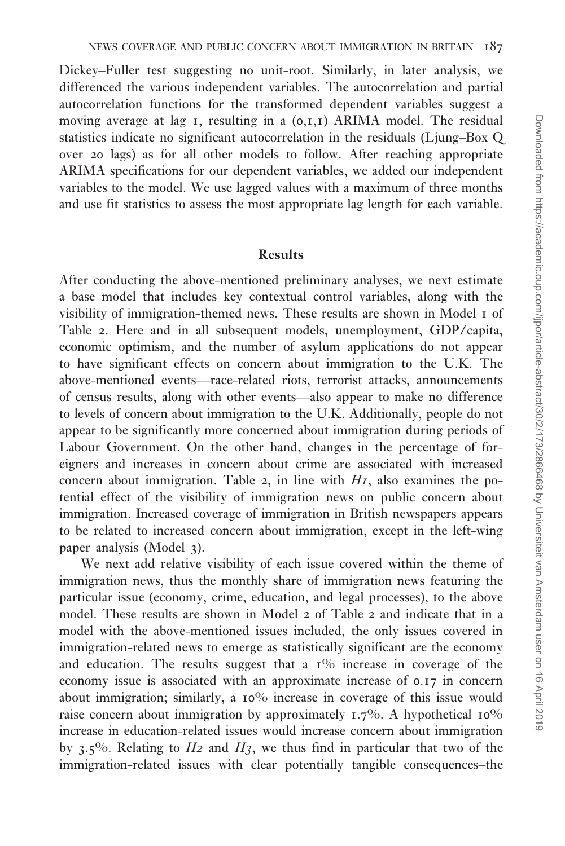Dickey–Fuller test suggesting no unit-root. Similarly, in later analysis, we differenced the various independent variables. The autocorrelation and partial autocorrelation functions for the transformed dependent variables suggest a moving average at lag 1, resulting in a (0,1,1) ARIMA model. The residual statistics indicate no significant autocorrelation in the residuals (Ljung–Box Q over 20 lags) as for all other models to follow. After reaching appropriate ARIMA specifications for our dependent variables, we added our independent variables to the model. We use lagged values with a maximum of three months and use fit statistics to assess the most appropriate lag length for each variable.

#### Results

After conducting the above-mentioned preliminary analyses, we next estimate a base model that includes key contextual control variables, along with the visibility of immigration-themed news. These results are shown in Model 1 of [Table](#page-14-0) 2. Here and in all subsequent models, unemployment, GDP/capita, economic optimism, and the number of asylum applications do not appear to have significant effects on concern about immigration to the U.K. The above-mentioned events—race-related riots, terrorist attacks, announcements of census results, along with other events—also appear to make no difference to levels of concern about immigration to the U.K. Additionally, people do not appear to be significantly more concerned about immigration during periods of Labour Government. On the other hand, changes in the percentage of foreigners and increases in concern about crime are associated with increased concern about immigration. [Table](#page-14-0) 2, in line with  $H_1$ , also examines the potential effect of the visibility of immigration news on public concern about immigration. Increased coverage of immigration in British newspapers appears to be related to increased concern about immigration, except in the left-wing paper analysis (Model 3).

We next add relative visibility of each issue covered within the theme of immigration news, thus the monthly share of immigration news featuring the particular issue (economy, crime, education, and legal processes), to the above model. These results are shown in Model 2 of [Table](#page-14-0) 2 and indicate that in a model with the above-mentioned issues included, the only issues covered in immigration-related news to emerge as statistically significant are the economy and education. The results suggest that a  $1\%$  increase in coverage of the economy issue is associated with an approximate increase of 0.17 in concern about immigration; similarly, a 10% increase in coverage of this issue would raise concern about immigration by approximately  $1.7\%$ . A hypothetical  $10\%$ increase in education-related issues would increase concern about immigration by 3.5%. Relating to  $H_2$  and  $H_3$ , we thus find in particular that two of the immigration-related issues with clear potentially tangible consequences–the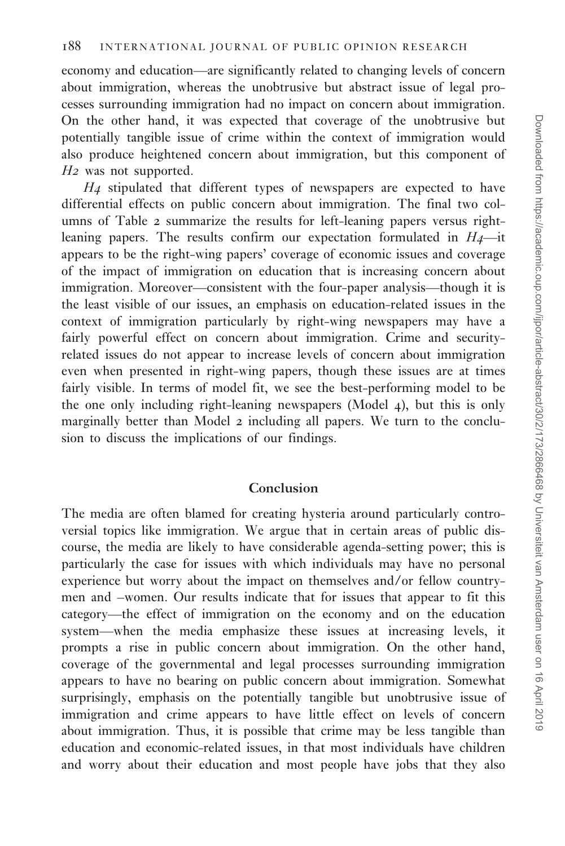economy and education—are significantly related to changing levels of concern about immigration, whereas the unobtrusive but abstract issue of legal processes surrounding immigration had no impact on concern about immigration. On the other hand, it was expected that coverage of the unobtrusive but potentially tangible issue of crime within the context of immigration would also produce heightened concern about immigration, but this component of H2 was not supported.

 $H_4$  stipulated that different types of newspapers are expected to have differential effects on public concern about immigration. The final two columns of [Table](#page-14-0) 2 summarize the results for left-leaning papers versus rightleaning papers. The results confirm our expectation formulated in  $H_4$ —it appears to be the right-wing papers' coverage of economic issues and coverage of the impact of immigration on education that is increasing concern about immigration. Moreover—consistent with the four-paper analysis—though it is the least visible of our issues, an emphasis on education-related issues in the context of immigration particularly by right-wing newspapers may have a fairly powerful effect on concern about immigration. Crime and securityrelated issues do not appear to increase levels of concern about immigration even when presented in right-wing papers, though these issues are at times fairly visible. In terms of model fit, we see the best-performing model to be the one only including right-leaning newspapers (Model 4), but this is only marginally better than Model 2 including all papers. We turn to the conclusion to discuss the implications of our findings.

### Conclusion

The media are often blamed for creating hysteria around particularly controversial topics like immigration. We argue that in certain areas of public discourse, the media are likely to have considerable agenda-setting power; this is particularly the case for issues with which individuals may have no personal experience but worry about the impact on themselves and/or fellow countrymen and –women. Our results indicate that for issues that appear to fit this category—the effect of immigration on the economy and on the education system—when the media emphasize these issues at increasing levels, it prompts a rise in public concern about immigration. On the other hand, coverage of the governmental and legal processes surrounding immigration appears to have no bearing on public concern about immigration. Somewhat surprisingly, emphasis on the potentially tangible but unobtrusive issue of immigration and crime appears to have little effect on levels of concern about immigration. Thus, it is possible that crime may be less tangible than education and economic-related issues, in that most individuals have children and worry about their education and most people have jobs that they also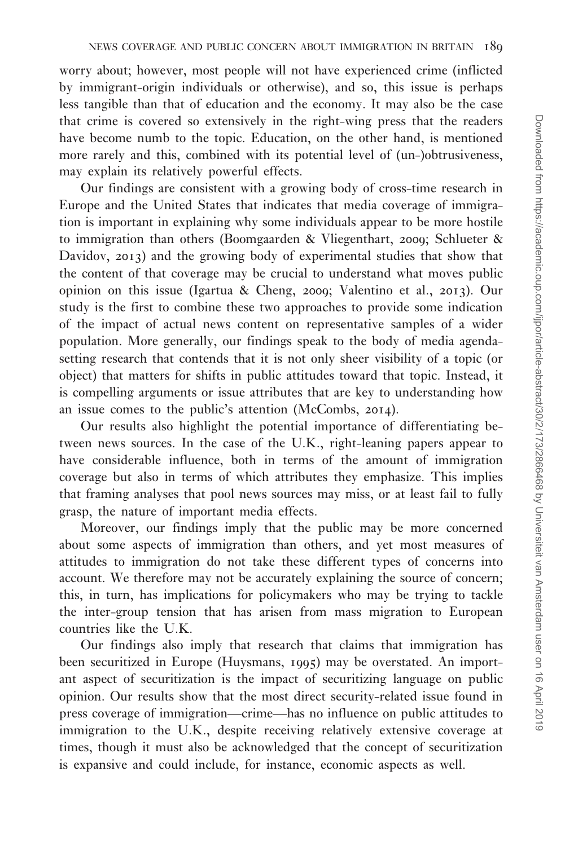worry about; however, most people will not have experienced crime (inflicted by immigrant-origin individuals or otherwise), and so, this issue is perhaps less tangible than that of education and the economy. It may also be the case that crime is covered so extensively in the right-wing press that the readers have become numb to the topic. Education, on the other hand, is mentioned more rarely and this, combined with its potential level of (un-)obtrusiveness, may explain its relatively powerful effects.

Our findings are consistent with a growing body of cross-time research in Europe and the United States that indicates that media coverage of immigration is important in explaining why some individuals appear to be more hostile to immigration than others ([Boomgaarden & Vliegenthart,](#page-18-0) 2009; [Schlueter &](#page-20-0) [Davidov,](#page-20-0) 2013) and the growing body of experimental studies that show that the content of that coverage may be crucial to understand what moves public opinion on this issue ([Igartua & Cheng,](#page-19-0) 2009; [Valentino et al.,](#page-20-0) 2013). Our study is the first to combine these two approaches to provide some indication of the impact of actual news content on representative samples of a wider population. More generally, our findings speak to the body of media agendasetting research that contends that it is not only sheer visibility of a topic (or object) that matters for shifts in public attitudes toward that topic. Instead, it is compelling arguments or issue attributes that are key to understanding how an issue comes to the public's attention [\(McCombs,](#page-20-0) 2014).

Our results also highlight the potential importance of differentiating between news sources. In the case of the U.K., right-leaning papers appear to have considerable influence, both in terms of the amount of immigration coverage but also in terms of which attributes they emphasize. This implies that framing analyses that pool news sources may miss, or at least fail to fully grasp, the nature of important media effects.

Moreover, our findings imply that the public may be more concerned about some aspects of immigration than others, and yet most measures of attitudes to immigration do not take these different types of concerns into account. We therefore may not be accurately explaining the source of concern; this, in turn, has implications for policymakers who may be trying to tackle the inter-group tension that has arisen from mass migration to European countries like the U.K.

Our findings also imply that research that claims that immigration has been securitized in Europe ([Huysmans,](#page-19-0) 1995) may be overstated. An important aspect of securitization is the impact of securitizing language on public opinion. Our results show that the most direct security-related issue found in press coverage of immigration—crime—has no influence on public attitudes to immigration to the U.K., despite receiving relatively extensive coverage at times, though it must also be acknowledged that the concept of securitization is expansive and could include, for instance, economic aspects as well.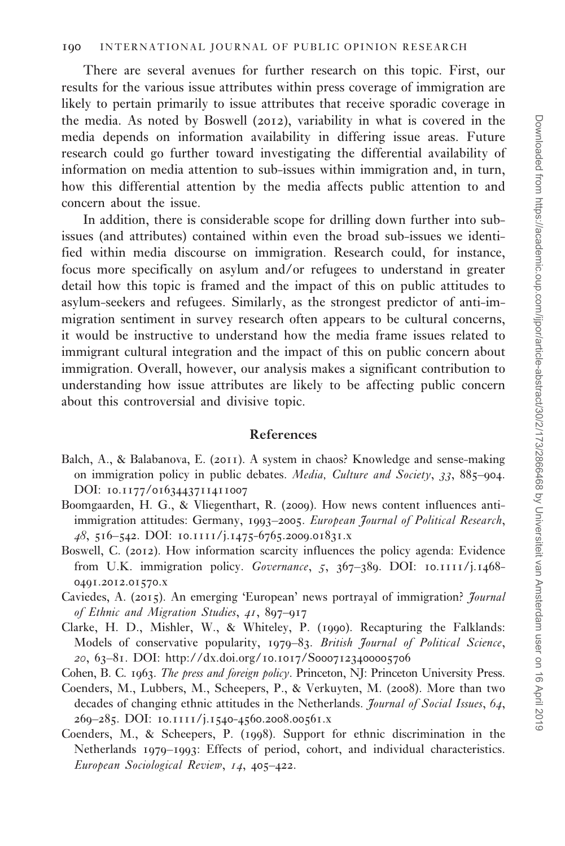<span id="page-18-0"></span>There are several avenues for further research on this topic. First, our results for the various issue attributes within press coverage of immigration are likely to pertain primarily to issue attributes that receive sporadic coverage in the media. As noted by Boswell (2012), variability in what is covered in the media depends on information availability in differing issue areas. Future research could go further toward investigating the differential availability of information on media attention to sub-issues within immigration and, in turn, how this differential attention by the media affects public attention to and concern about the issue.

In addition, there is considerable scope for drilling down further into subissues (and attributes) contained within even the broad sub-issues we identified within media discourse on immigration. Research could, for instance, focus more specifically on asylum and/or refugees to understand in greater detail how this topic is framed and the impact of this on public attitudes to asylum-seekers and refugees. Similarly, as the strongest predictor of anti-immigration sentiment in survey research often appears to be cultural concerns, it would be instructive to understand how the media frame issues related to immigrant cultural integration and the impact of this on public concern about immigration. Overall, however, our analysis makes a significant contribution to understanding how issue attributes are likely to be affecting public concern about this controversial and divisive topic.

#### References

- Balch, A., & Balabanova, E. (2011). A system in chaos? Knowledge and sense-making on immigration policy in public debates. Media, Culture and Society, 33, 885-904. DOI: 10.1177/0163443711411007
- Boomgaarden, H. G., & Vliegenthart, R. (2009). How news content influences antiimmigration attitudes: Germany, 1993–2005. European Journal of Political Research, 48, 516–542. DOI: 10.1111/j.1475-6765.2009.01831.x
- Boswell, C. (2012). How information scarcity influences the policy agenda: Evidence from U.K. immigration policy. Governance, 5, 367–389. DOI: 10.1111/j.1468- 0491.2012.01570.x
- Caviedes, A. (2015). An emerging 'European' news portrayal of immigration? Journal of Ethnic and Migration Studies, 41, 897–917
- Clarke, H. D., Mishler, W., & Whiteley, P. (1990). Recapturing the Falklands: Models of conservative popularity, 1979–83. British Journal of Political Science, 20, 63–81. DOI: [http://dx.doi.org/](http://dx.doi.org/10.1017/S0007123400005706)10.1017/S0007123400005706
- Cohen, B. C. 1963. The press and foreign policy. Princeton, NJ: Princeton University Press.
- Coenders, M., Lubbers, M., Scheepers, P., & Verkuyten, M. (2008). More than two decades of changing ethnic attitudes in the Netherlands. *Journal of Social Issues*, 64, 269–285. DOI: 10.1111/j.1540-4560.2008.00561.x
- Coenders, M., & Scheepers, P. (1998). Support for ethnic discrimination in the Netherlands 1979–1993: Effects of period, cohort, and individual characteristics. European Sociological Review, 14, 405–422.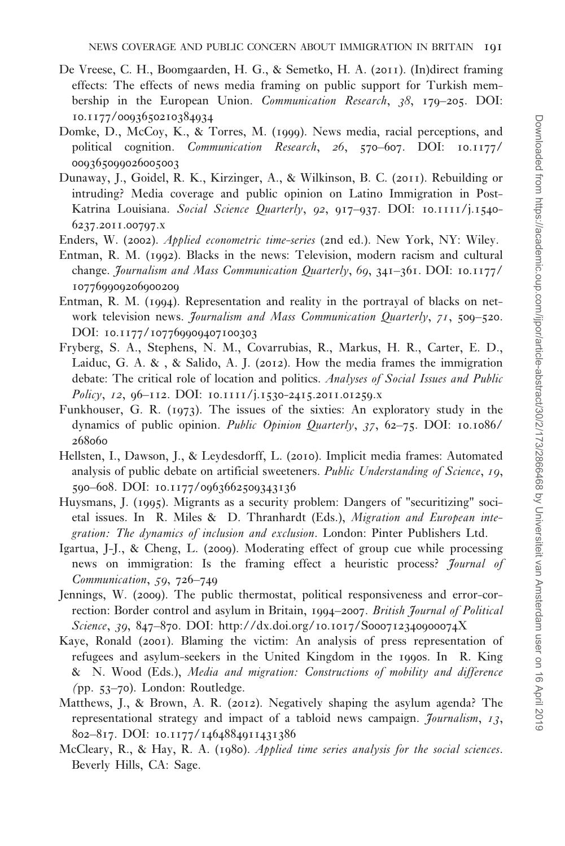- <span id="page-19-0"></span>De Vreese, C. H., Boomgaarden, H. G., & Semetko, H. A. (2011). (In)direct framing effects: The effects of news media framing on public support for Turkish membership in the European Union. Communication Research, 38, 179-205. DOI: 10.1177/0093650210384934
- Domke, D., McCoy, K., & Torres, M. (1999). News media, racial perceptions, and political cognition. Communication Research, 26, 570–607. DOI: 10.1177/ 009365099026005003
- Dunaway, J., Goidel, R. K., Kirzinger, A., & Wilkinson, B. C. (2011). Rebuilding or intruding? Media coverage and public opinion on Latino Immigration in Post-Katrina Louisiana. Social Science Quarterly, 92, 917-937. DOI: 10.1111/j.1540-6237.2011.00797.x
- Enders, W. (2002). Applied econometric time-series (2nd ed.). New York, NY: Wiley.
- Entman, R. M. (1992). Blacks in the news: Television, modern racism and cultural change. Journalism and Mass Communication Quarterly, 69, 341–361. DOI: 10.1177/ 107769909206900209
- Entman, R. M. (1994). Representation and reality in the portrayal of blacks on network television news. *Journalism and Mass Communication Quarterly*, 71, 509–520. DOI: 10.1177/107769909407100303
- Fryberg, S. A., Stephens, N. M., Covarrubias, R., Markus, H. R., Carter, E. D., Laiduc, G. A.  $\&$ ,  $\&$  Salido, A. J. (2012). How the media frames the immigration debate: The critical role of location and politics. Analyses of Social Issues and Public Policy, 12, 96–112. DOI: 10.1111/j.1530-2415.2011.01259.x
- Funkhouser, G. R. (1973). The issues of the sixties: An exploratory study in the dynamics of public opinion. Public Opinion Quarterly, 37, 62–75. DOI: 10.1086/ 268060
- Hellsten, I., Dawson, J., & Leydesdorff, L. (2010). Implicit media frames: Automated analysis of public debate on artificial sweeteners. Public Understanding of Science, 19, 590–608. DOI: 10.1177/0963662509343136
- Huysmans, J. (1995). Migrants as a security problem: Dangers of "securitizing" societal issues. In R. Miles & D. Thranhardt (Eds.), Migration and European integration: The dynamics of inclusion and exclusion. London: Pinter Publishers Ltd.
- Igartua, J-J., & Cheng, L. (2009). Moderating effect of group cue while processing news on immigration: Is the framing effect a heuristic process? *Journal of* Communication, 59, 726–749
- Jennings, W. (2009). The public thermostat, political responsiveness and error-correction: Border control and asylum in Britain, 1994–2007. British Journal of Political Science, 39, 847-870. DOI: [http://dx.doi.org/](http://dx.doi.org/10.1017/S000712340900074X)10.1017/S000712340900074X
- Kaye, Ronald (2001). Blaming the victim: An analysis of press representation of refugees and asylum-seekers in the United Kingdom in the 1990s. In R. King & N. Wood (Eds.), Media and migration: Constructions of mobility and difference (pp. 53–70). London: Routledge.
- Matthews, J., & Brown, A. R. (2012). Negatively shaping the asylum agenda? The representational strategy and impact of a tabloid news campaign. *Journalism*, 13, 802–817. DOI: 10.1177/1464884911431386
- McCleary, R., & Hay, R. A. (1980). Applied time series analysis for the social sciences. Beverly Hills, CA: Sage.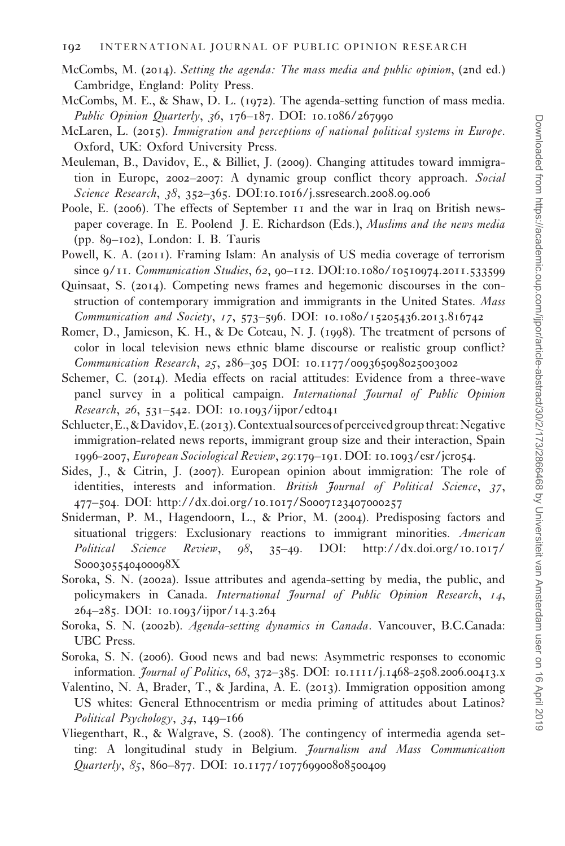- <span id="page-20-0"></span>McCombs, M. (2014). Setting the agenda: The mass media and public opinion, (2nd ed.) Cambridge, England: Polity Press.
- McCombs, M. E., & Shaw, D. L. (1972). The agenda-setting function of mass media. Public Opinion Quarterly, 36, 176-187. DOI: 10.1086/267990
- McLaren, L. (2015). Immigration and perceptions of national political systems in Europe. Oxford, UK: Oxford University Press.
- Meuleman, B., Davidov, E., & Billiet, J. (2009). Changing attitudes toward immigration in Europe, 2002–2007: A dynamic group conflict theory approach. Social Science Research, 38, 352–365. DOI:10.1016/j.ssresearch.2008.09.006
- Poole, E. (2006). The effects of September 11 and the war in Iraq on British newspaper coverage. In E. Poolend J. E. Richardson (Eds.), *Muslims and the news media* (pp. 89–102), London: I. B. Tauris
- Powell, K. A. (2011). Framing Islam: An analysis of US media coverage of terrorism since 9/11. *Communication Studies*, 62, 90–112. DOI:10.1080/10510974.2011.533599
- Quinsaat, S. (2014). Competing news frames and hegemonic discourses in the construction of contemporary immigration and immigrants in the United States. Mass Communication and Society, 17, 573–596. DOI: 10.1080/15205436.2013.816742
- Romer, D., Jamieson, K. H., & De Coteau, N. J. (1998). The treatment of persons of color in local television news ethnic blame discourse or realistic group conflict? Communication Research, 25, 286–305 DOI: 10.1177/009365098025003002
- Schemer, C. (2014). Media effects on racial attitudes: Evidence from a three-wave panel survey in a political campaign. International Journal of Public Opinion *Research*, 26, 531–542. DOI: 10.1093/ijpor/edt041
- Schlueter, E., & Davidov, E. (2013). Contextual sources of perceived group threat: Negative immigration-related news reports, immigrant group size and their interaction, Spain 1996-2007, European Sociological Review, 29:179–191. DOI: 10.1093/esr/jcr054.
- Sides, J., & Citrin, J. (2007). European opinion about immigration: The role of identities, interests and information. British Journal of Political Science, 37, 477–504. DOI: [http://dx.doi.org/](http://dx.doi.org/10.1017/S0007123407000257)10.1017/S0007123407000257
- Sniderman, P. M., Hagendoorn, L., & Prior, M. (2004). Predisposing factors and situational triggers: Exclusionary reactions to immigrant minorities. American Political Science Review, 98, 35-49. DOI: [http://dx.doi.org/](http://dx.doi.org/10.1017/S000305540400098X)10.1017/ S[000305540400098](http://dx.doi.org/10.1017/S000305540400098X)X
- Soroka, S. N. (2002a). Issue attributes and agenda-setting by media, the public, and policymakers in Canada. International Journal of Public Opinion Research, 14, 264–285. DOI: 10.1093/ijpor/14.3.264
- Soroka, S. N. (2002b). Agenda-setting dynamics in Canada. Vancouver, B.C.Canada: UBC Press.
- Soroka, S. N. (2006). Good news and bad news: Asymmetric responses to economic information. Journal of Politics, 68, 372–385. DOI: 10.1111/j.1468-2508.2006.00413.x
- Valentino, N. A, Brader, T., & Jardina, A. E. (2013). Immigration opposition among US whites: General Ethnocentrism or media priming of attitudes about Latinos? Political Psychology, 34, 149–166
- Vliegenthart, R., & Walgrave, S. (2008). The contingency of intermedia agenda setting: A longitudinal study in Belgium. Journalism and Mass Communication  $Quarterly, 85, 860-877. DOI: 10.1177/107769900808500409$